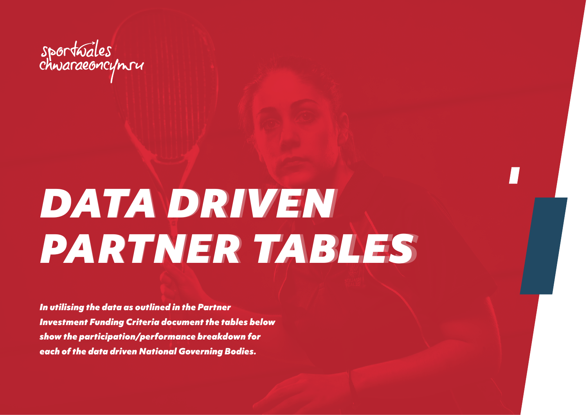

## *DATA DRIVEN DATA DRIVEN PARTNER TABLES PARTNER TABLES*

*In utilising the data as outlined in the Partner Investment Funding Criteria document the tables below show the participation/performance breakdown for each of the data driven National Governing Bodies.*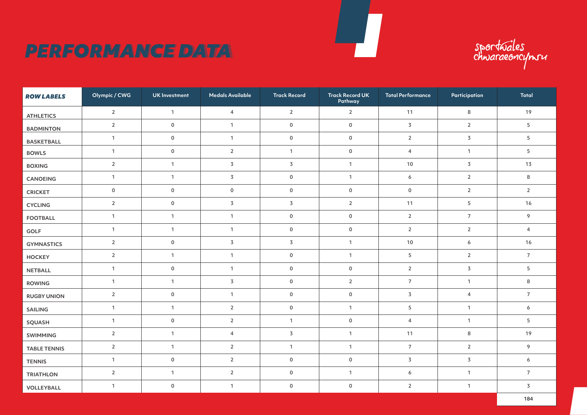## **PERFORMANCE DATA**

sportuales<br>chwaraeoncymru

| <b>ROW LABELS</b>   | Olympic / CWG  | <b>UK</b> Investment | <b>Medals Available</b> | <b>Track Record</b>     | <b>Track Record UK</b><br>Pathway | <b>Total Performance</b>     | Participation    | <b>Total</b>   |
|---------------------|----------------|----------------------|-------------------------|-------------------------|-----------------------------------|------------------------------|------------------|----------------|
| <b>ATHLETICS</b>    | $\overline{2}$ | $\mathbf{1}$         | $\overline{4}$          | $\overline{2}$          | $\overline{2}$                    | 11                           | 8                | 19             |
| <b>BADMINTON</b>    | $\overline{2}$ | $\mathsf{O}\xspace$  | $\mathbf{1}$            | $\mathsf 0$             | $\mathsf{O}\xspace$               | $\overline{3}$               | $\overline{2}$   | 5              |
| <b>BASKETBALL</b>   | $\mathbf{1}$   | $\mathsf 0$          | $\mathbf{1}$            | $\mathsf{O}\xspace$     | $\mathsf{O}\xspace$               | $\overline{2}$               | $\overline{3}$   | 5              |
| <b>BOWLS</b>        | $\mathbf{1}$   | $\mathsf 0$          | $\overline{2}$          | $\mathbf{1}$            | $\mathsf{O}\xspace$               | 4                            | $\mathbf{1}$     | 5              |
| <b>BOXING</b>       | $\overline{2}$ | $\mathbf{1}$         | 3                       | $\overline{\mathsf{3}}$ | $\overline{1}$                    | $10$                         | $\overline{3}$   | 13             |
| CANOEING            | $\mathbf{1}$   | $\mathbf{1}$         | $\overline{3}$          | $\mathsf 0$             | $\mathbf{1}$                      | $\boldsymbol{6}$             | $\mathbf 2$      | 8              |
| <b>CRICKET</b>      | $\mathsf 0$    | $\mathsf{O}\xspace$  | $\mathsf{O}\xspace$     | $\mathsf 0$             | $\mathsf{O}\xspace$               | $\mathsf{O}\xspace$          | $\sqrt{2}$       | $\overline{2}$ |
| <b>CYCLING</b>      | $\overline{2}$ | $\mathsf{O}\xspace$  | $\overline{3}$          | $\overline{\mathsf{3}}$ | $\overline{2}$                    | 11                           | $\sqrt{5}$       | 16             |
| <b>FOOTBALL</b>     | $\mathbf{1}$   | $\mathbf{1}$         | $\mathbf{1}$            | $\pmb{0}$               | $\mathsf{O}\xspace$               | $\sqrt{2}$<br>$\overline{7}$ |                  | 9              |
| GOLF                | $\mathbf{1}$   | $\mathbf{1}$         | $\mathbf{1}$            | $\mathsf 0$             | $\mathsf{O}\xspace$               | $\overline{2}$               | $\overline{2}$   | $\overline{4}$ |
| <b>GYMNASTICS</b>   | $\overline{2}$ | $\mathsf{O}\xspace$  | $\overline{3}$          | $\overline{\mathsf{3}}$ | $\mathbf{1}$                      | $10$                         | $\boldsymbol{6}$ | 16             |
| HOCKEY              | $\overline{2}$ | $\mathbf{1}$         | $\mathbf{1}$            | $\mathsf{O}\xspace$     | $\overline{1}$                    | $\mathsf S$                  | $\sqrt{2}$       | $\overline{7}$ |
| <b>NETBALL</b>      | $\mathbf{1}$   | $\mathsf{O}\xspace$  | $\mathbf{1}$            | $\mathsf 0$             | $\mathsf{O}\xspace$               | $\sqrt{2}$                   | $\overline{3}$   | 5              |
| <b>ROWING</b>       | $\mathbf{1}$   | $\mathbf{1}$         | $\overline{\mathsf{3}}$ | $\mathsf 0$             | $\overline{2}$                    | $\overline{7}$               | $\mathbf{1}$     | 8              |
| <b>RUGBY UNION</b>  | $\overline{2}$ | $\mathsf{O}\xspace$  | $\mathbf{1}$            | $\mathsf{O}\xspace$     | $\mathsf{O}\xspace$               | $\overline{3}$               | $\overline{4}$   | $\overline{7}$ |
| <b>SAILING</b>      | $\mathbf{1}$   | $\mathbf{1}$         | $\overline{2}$          | $\mathsf 0$             | $\mathbf{1}$                      | $\mathsf S$                  | $\mathbf{1}$     | 6              |
| <b>SQUASH</b>       | $\mathbf{1}$   | $\mathsf{O}$         | $\overline{2}$          | $\mathbf{1}$            | $\mathsf 0$                       | 4                            | $\mathbf{1}$     | 5              |
| SWIMMING            | $\overline{2}$ | $\mathbf{1}$         | $\overline{4}$          | $\overline{\mathsf{3}}$ | $\mathbf{1}$                      | 11                           | $\bf 8$          | 19             |
| <b>TABLE TENNIS</b> | $\overline{2}$ | $\mathbf{1}$         | $\overline{2}$          | $\mathbf{1}$            | $\mathbf{1}$                      | $\overline{7}$               | $\overline{2}$   | 9              |
| <b>TENNIS</b>       | $\mathbf{1}$   | $\mathbf 0$          | $\overline{2}$          | $\mathbf 0$             | $\mathsf{O}\xspace$               | 3                            | $\overline{3}$   | 6              |
| <b>TRIATHLON</b>    | $\overline{2}$ | $\mathbf{1}$         | $\overline{2}$          | $\mathsf 0$             | $\mathbf{1}$                      | $\boldsymbol{6}$             | $\mathbf{1}$     | $\overline{7}$ |
| VOLLEYBALL          | $\mathbf{1}$   | $\mathsf{O}\xspace$  | $\mathbf{1}$            | $\mathsf{O}\xspace$     | $\mathsf{O}\xspace$               | $\overline{2}$               | $\mathbf{1}$     | $\overline{3}$ |